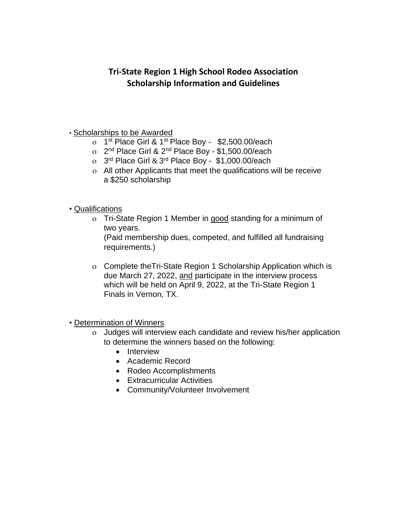## **Tri-State Region 1 High School Rodeo Association Scholarship Information and Guidelines**

#### • Scholarships to be Awarded

- o 1<sup>st</sup> Place Girl & 1<sup>st</sup> Place Boy \$2,500.00/each
- o 2<sup>nd</sup> Place Girl & 2<sup>nd</sup> Place Boy \$1,500.00/each
- $\sigma$  3<sup>rd</sup> Place Girl & 3<sup>rd</sup> Place Boy \$1,000.00/each
- All other Applicants that meet the qualifications will be receive a \$250 scholarship
- Qualifications
	- Tri-State Region 1 Member in good standing for a minimum of two years.

(Paid membership dues, competed, and fulfilled all fundraising requirements.)

 Complete theTri-State Region 1 Scholarship Application which is due March 27, 2022, and participate in the interview process which will be held on April 9, 2022, at the Tri-State Region 1 Finals in Vernon, TX.

• Determination of Winners

- Judges will interview each candidate and review his/her application to determine the winners based on the following:
	- Interview
	- Academic Record
	- Rodeo Accomplishments
	- Extracurricular Activities
	- Community/Volunteer Involvement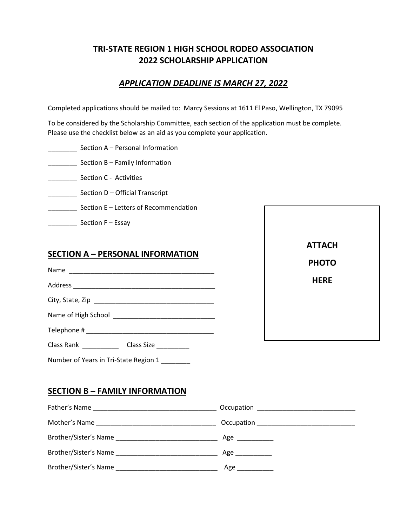## **TRI-STATE REGION 1 HIGH SCHOOL RODEO ASSOCIATION 2022 SCHOLARSHIP APPLICATION**

## *APPLICATION DEADLINE IS MARCH 27, 2022*

Completed applications should be mailed to: Marcy Sessions at 1611 El Paso, Wellington, TX 79095

To be considered by the Scholarship Committee, each section of the application must be complete. Please use the checklist below as an aid as you complete your application.

- \_\_\_\_\_\_\_\_ Section A Personal Information
- **EXECTED SECTION B Family Information**
- \_\_\_\_\_\_\_\_ Section C Activities
- \_\_\_\_\_\_\_\_ Section D Official Transcript
- **\_\_\_\_\_\_\_\_** Section E Letters of Recommendation
- **EXECTE:** Section F Essay

### **SECTION A – PERSONAL INFORMATION**

Name \_\_\_\_\_\_\_\_\_\_\_\_\_\_\_\_\_\_\_\_\_\_\_\_\_\_\_\_\_\_\_\_\_\_\_\_\_\_\_\_ Address \_\_\_\_\_\_\_\_\_\_\_\_\_\_\_\_\_\_\_\_\_\_\_\_\_\_\_\_\_\_\_\_\_\_\_\_\_\_\_

City, State, Zip \_\_\_\_\_\_\_\_\_\_\_\_\_\_\_\_\_\_\_\_\_\_\_\_\_\_\_\_\_\_\_\_\_

Name of High School \_\_\_\_\_\_\_\_\_\_\_\_\_\_\_\_\_\_\_\_\_\_\_\_\_\_\_\_

Telephone # \_\_\_\_\_\_\_\_\_\_\_\_\_\_\_\_\_\_\_\_\_\_\_\_\_\_\_\_\_\_\_\_\_\_\_

Class Rank \_\_\_\_\_\_\_\_\_\_\_\_\_ Class Size \_\_\_\_\_\_\_\_\_

Number of Years in Tri-State Region 1



### **SECTION B – FAMILY INFORMATION**

| Father's Name         |          |
|-----------------------|----------|
|                       |          |
| Brother/Sister's Name | $Age \_$ |
|                       | Age      |
|                       | Age      |